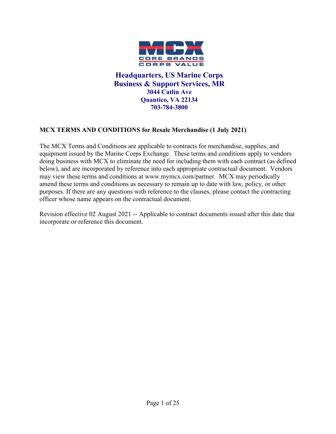

**Headquarters, US Marine Corps Business & Support Services, MR 3044 Catlin Ave Quantico, VA 22134 703-784-3800**

#### <span id="page-0-1"></span><span id="page-0-0"></span>**MCX TERMS AND CONDITIONS for Resale Merchandise (1 July 2021)**

The MCX Terms and Conditions are applicable to contracts for merchandise, supplies, and equipment issued by the Marine Corps Exchange. These terms and conditions apply to vendors doing business with MCX to eliminate the need for including them with each contract (as defined below), and are incorporated by reference into each appropriate contractual document. Vendors may view these terms and conditions at www.mymcx.com/partner. MCX may periodically amend these terms and conditions as necessary to remain up to date with law, policy, or other purposes. If there are any questions with reference to the clauses, please contact the contracting officer whose name appears on the contractual document.

Revision effective 02 August 2021 -- Applicable to contract documents issued after this date that incorporate or reference this document.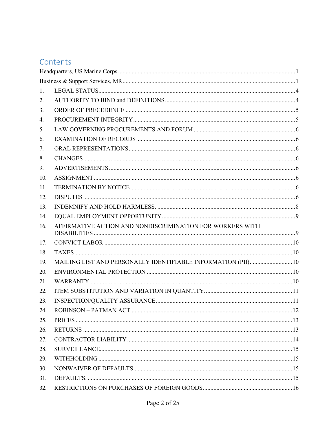## Contents

| 1.  |                                                               |  |
|-----|---------------------------------------------------------------|--|
| 2.  |                                                               |  |
| 3.  |                                                               |  |
| 4.  |                                                               |  |
| 5.  |                                                               |  |
| 6.  |                                                               |  |
| 7.  |                                                               |  |
| 8.  |                                                               |  |
| 9.  |                                                               |  |
| 10. |                                                               |  |
| 11. |                                                               |  |
| 12. |                                                               |  |
| 13. |                                                               |  |
| 14. |                                                               |  |
| 16. | AFFIRMATIVE ACTION AND NONDISCRIMINATION FOR WORKERS WITH     |  |
| 17. |                                                               |  |
| 18. |                                                               |  |
| 19. | MAILING LIST AND PERSONALLY IDENTIFIABLE INFORMATION (PII) 10 |  |
| 20. |                                                               |  |
| 21. |                                                               |  |
| 22. |                                                               |  |
| 23. |                                                               |  |
| 24. |                                                               |  |
| 25. |                                                               |  |
| 26. |                                                               |  |
| 27. |                                                               |  |
| 28. |                                                               |  |
| 29. |                                                               |  |
| 30. |                                                               |  |
| 31. |                                                               |  |
| 32. |                                                               |  |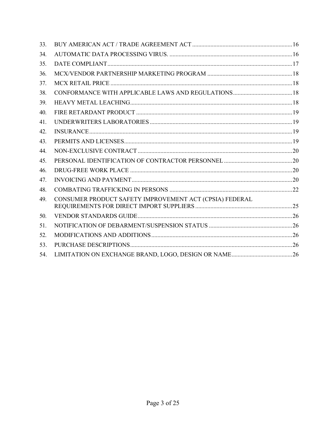| 33. |                                                         |  |
|-----|---------------------------------------------------------|--|
| 34. |                                                         |  |
| 35. |                                                         |  |
| 36. |                                                         |  |
| 37. |                                                         |  |
| 38. |                                                         |  |
| 39. |                                                         |  |
| 40. |                                                         |  |
| 41. |                                                         |  |
| 42. |                                                         |  |
| 43. |                                                         |  |
| 44. |                                                         |  |
| 45. |                                                         |  |
| 46. |                                                         |  |
| 47. |                                                         |  |
| 48. |                                                         |  |
| 49. | CONSUMER PRODUCT SAFETY IMPROVEMENT ACT (CPSIA) FEDERAL |  |
| 50. |                                                         |  |
| 51. |                                                         |  |
| 52. |                                                         |  |
| 53. |                                                         |  |
| 54. |                                                         |  |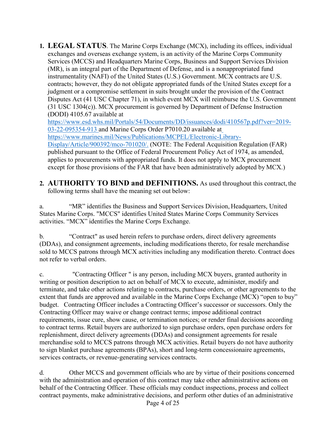<span id="page-3-0"></span>**1. LEGAL STATUS**. The Marine Corps Exchange (MCX), including its offices, individual exchanges and overseas exchange system, is an activity of the Marine Corps Community Services (MCCS) and Headquarters Marine Corps, Business and Support Services Division (MR), is an integral part of the Department of Defense, and is a nonappropriated fund instrumentality (NAFI) of the United States (U.S.) Government. MCX contracts are U.S. contracts; however, they do not obligate appropriated funds of the United States except for a judgment or a compromise settlement in suits brought under the provision of the Contract Disputes Act (41 USC Chapter 71), in which event MCX will reimburse the U.S. Government (31 USC 1304(c)). MCX procurement is governed by Department of Defense Instruction (DODI) 4105.67 available at

[https://www.esd.whs.mil/Portals/54/Documents/DD/issuances/dodi/410567p.pdf?ver=2019-](https://www.esd.whs.mil/Portals/54/Documents/DD/issuances/dodi/410567p.pdf?ver=2019-03-22-095354-913%20) [03-22-095354-913](https://www.esd.whs.mil/Portals/54/Documents/DD/issuances/dodi/410567p.pdf?ver=2019-03-22-095354-913%20) and Marine Corps Order P7010.20 available a[t](https://www.marines.mil/News/Publications/MCPEL/Electronic-Library-Display/Article/900392/mco-701020/) [https://www.marines.mil/News/Publications/MCPEL/Electronic-Library-](https://www.marines.mil/News/Publications/MCPEL/Electronic-Library-Display/Article/900392/mco-701020/)[Display/Article/900392/mco-701020/.](https://www.marines.mil/News/Publications/MCPEL/Electronic-Library-Display/Article/900392/mco-701020/) (NOTE: The Federal Acquisition Regulation (FAR) published pursuant to the Office of Federal Procurement Policy Act of 1974, as amended, applies to procurements with appropriated funds. It does not apply to MCX procurement except for those provisions of the FAR that have been administratively adopted by MCX.)

<span id="page-3-1"></span>**2. AUTHORITY TO BIND and DEFINITIONS.** As used throughout this contract, the following terms shall have the meaning set out below:

a. "MR" identifies the Business and Support Services Division, Headquarters, United States Marine Corps. "MCCS" identifies United States Marine Corps Community Services activities. "MCX" identifies the Marine Corps Exchange.

b. "Contract" as used herein refers to purchase orders, direct delivery agreements (DDAs), and consignment agreements, including modifications thereto, for resale merchandise sold to MCCS patrons through MCX activities including any modification thereto. Contract does not refer to verbal orders.

c. "Contracting Officer " is any person, including MCX buyers, granted authority in writing or position description to act on behalf of MCX to execute, administer, modify and terminate, and take other actions relating to contracts, purchase orders, or other agreements to the extent that funds are approved and available in the Marine Corps Exchange (MCX) "open to buy" budget. Contracting Officer includes a Contracting Officer's successor or successors. Only the Contracting Officer may waive or change contract terms; impose additional contract requirements, issue cure, show cause, or termination notices; or render final decisions according to contract terms. Retail buyers are authorized to sign purchase orders, open purchase orders for replenishment, direct delivery agreements (DDAs) and consignment agreements for resale merchandise sold to MCCS patrons through MCX activities. Retail buyers do not have authority to sign blanket purchase agreements (BPAs), short and long-term concessionaire agreements, services contracts, or revenue-generating services contracts.

d. Other MCCS and government officials who are by virtue of their positions concerned with the administration and operation of this contract may take other administrative actions on behalf of the Contracting Officer. These officials may conduct inspections, process and collect contract payments, make administrative decisions, and perform other duties of an administrative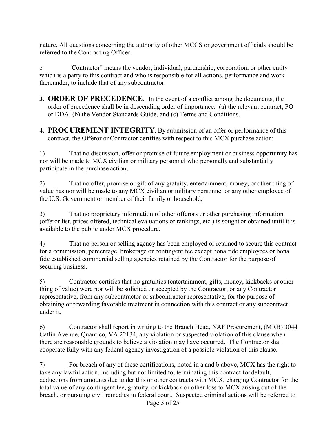nature. All questions concerning the authority of other MCCS or government officials should be referred to the Contracting Officer.

e. "Contractor" means the vendor, individual, partnership, corporation, or other entity which is a party to this contract and who is responsible for all actions, performance and work thereunder, to include that of any subcontractor.

- <span id="page-4-0"></span>**3. ORDER OF PRECEDENCE**. In the event of a conflict among the documents, the order of precedence shall be in descending order of importance: (a) the relevant contract, PO or DDA, (b) the Vendor Standards Guide, and (c) Terms and Conditions.
- <span id="page-4-1"></span>**4. PROCUREMENT INTEGRITY**. By submission of an offer or performance of this contract, the Offeror or Contractor certifies with respect to this MCX purchase action:

1) That no discussion, offer or promise of future employment or business opportunity has nor will be made to MCX civilian or military personnel who personally and substantially participate in the purchase action;

2) That no offer, promise or gift of any gratuity, entertainment, money, or other thing of value has nor will be made to any MCX civilian or military personnel or any other employee of the U.S. Government or member of their family or household;

3) That no proprietary information of other offerors or other purchasing information (offeror list, prices offered, technical evaluations or rankings, etc.) is sought or obtained until it is available to the public under MCX procedure.

4) That no person or selling agency has been employed or retained to secure this contract for a commission, percentage, brokerage or contingent fee except bona fide employees or bona fide established commercial selling agencies retained by the Contractor for the purpose of securing business.

5) Contractor certifies that no gratuities (entertainment, gifts, money, kickbacks or other thing of value) were nor will be solicited or accepted by the Contractor, or any Contractor representative, from any subcontractor or subcontractor representative, for the purpose of obtaining or rewarding favorable treatment in connection with this contract or any subcontract under it.

6) Contractor shall report in writing to the Branch Head, NAF Procurement, (MRB) 3044 Catlin Avenue, Quantico, VA 22134, any violation or suspected violation of this clause when there are reasonable grounds to believe a violation may have occurred. The Contractor shall cooperate fully with any federal agency investigation of a possible violation of this clause.

7) For breach of any of these certifications, noted in a and b above, MCX has the right to take any lawful action, including but not limited to, terminating this contract for default, deductions from amounts due under this or other contracts with MCX, charging Contractor for the total value of any contingent fee, gratuity, or kickback or other loss to MCX arising out of the breach, or pursuing civil remedies in federal court. Suspected criminal actions will be referred to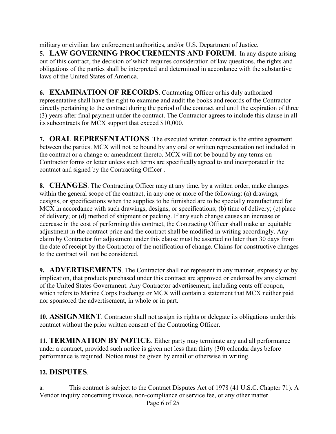<span id="page-5-0"></span>military or civilian law enforcement authorities, and/or U.S. Department of Justice. **5. LAW GOVERNING PROCUREMENTS AND FORUM**. In any dispute arising out of this contract, the decision of which requires consideration of law questions, the rights and obligations of the parties shall be interpreted and determined in accordance with the substantive laws of the United States of America.

<span id="page-5-1"></span>**6. EXAMINATION OF RECORDS**. Contracting Officer or his duly authorized representative shall have the right to examine and audit the books and records of the Contractor directly pertaining to the contract during the period of the contract and until the expiration of three (3) years after final payment under the contract. The Contractor agrees to include this clause in all its subcontracts for MCX support that exceed \$10,000.

<span id="page-5-2"></span>**7. ORAL REPRESENTATIONS**. The executed written contract is the entire agreement between the parties. MCX will not be bound by any oral or written representation not included in the contract or a change or amendment thereto. MCX will not be bound by any terms on Contractor forms or letter unless such terms are specifically agreed to and incorporated in the contract and signed by the Contracting Officer .

<span id="page-5-3"></span>**8. CHANGES**. The Contracting Officer may at any time, by a written order, make changes within the general scope of the contract, in any one or more of the following: (a) drawings, designs, or specifications when the supplies to be furnished are to be specially manufactured for MCX in accordance with such drawings, designs, or specifications; (b) time of delivery; (c) place of delivery; or (d) method of shipment or packing. If any such change causes an increase or decrease in the cost of performing this contract, the Contracting Officer shall make an equitable adjustment in the contract price and the contract shall be modified in writing accordingly. Any claim by Contractor for adjustment under this clause must be asserted no later than 30 days from the date of receipt by the Contractor of the notification of change. Claims for constructive changes to the contract will not be considered.

<span id="page-5-4"></span>**9. ADVERTISEMENTS**. The Contractor shall not represent in any manner, expressly or by implication, that products purchased under this contract are approved or endorsed by any element of the United States Government. Any Contractor advertisement, including cents off coupon, which refers to Marine Corps Exchange or MCX will contain a statement that MCX neither paid nor sponsored the advertisement, in whole or in part.

<span id="page-5-5"></span>**10. ASSIGNMENT**. Contractor shall not assign its rights or delegate its obligations underthis contract without the prior written consent of the Contracting Officer.

<span id="page-5-6"></span>**11. TERMINATION BY NOTICE**. Either party may terminate any and all performance under a contract, provided such notice is given not less than thirty (30) calendar days before performance is required. Notice must be given by email or otherwise in writing.

#### <span id="page-5-7"></span>**12. DISPUTES**.

Page 6 of 25 a. This contract is subject to the Contract Disputes Act of 1978 (41 U.S.C. Chapter 71). A Vendor inquiry concerning invoice, non-compliance or service fee, or any other matter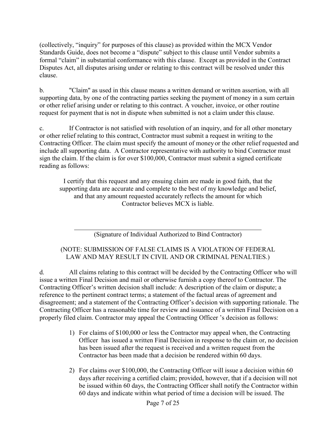(collectively, "inquiry" for purposes of this clause) as provided within the MCX Vendor Standards Guide, does not become a "dispute" subject to this clause until Vendor submits a formal "claim" in substantial conformance with this clause. Except as provided in the Contract Disputes Act, all disputes arising under or relating to this contract will be resolved under this clause.

b. "Claim" as used in this clause means a written demand or written assertion, with all supporting data, by one of the contracting parties seeking the payment of money in a sum certain or other relief arising under or relating to this contract. A voucher, invoice, or other routine request for payment that is not in dispute when submitted is not a claim under this clause.

c. If Contractor is not satisfied with resolution of an inquiry, and for all other monetary or other relief relating to this contract, Contractor must submit a request in writing to the Contracting Officer. The claim must specify the amount of money or the other relief requested and include all supporting data. A Contractor representative with authority to bind Contractor must sign the claim. If the claim is for over \$100,000, Contractor must submit a signed certificate reading as follows:

I certify that this request and any ensuing claim are made in good faith, that the supporting data are accurate and complete to the best of my knowledge and belief, and that any amount requested accurately reflects the amount for which Contractor believes MCX is liable.

(Signature of Individual Authorized to Bind Contractor)

#### (NOTE: SUBMISSION OF FALSE CLAIMS IS A VIOLATION OF FEDERAL LAW AND MAY RESULT IN CIVIL AND OR CRIMINAL PENALTIES.)

d. All claims relating to this contract will be decided by the Contracting Officer who will issue a written Final Decision and mail or otherwise furnish a copy thereof to Contractor. The Contracting Officer's written decision shall include: A description of the claim or dispute; a reference to the pertinent contract terms; a statement of the factual areas of agreement and disagreement; and a statement of the Contracting Officer's decision with supporting rationale. The Contracting Officer has a reasonable time for review and issuance of a written Final Decision on a properly filed claim. Contractor may appeal the Contracting Officer 's decision as follows:

- 1) For claims of \$100,000 or less the Contractor may appeal when, the Contracting Officer has issued a written Final Decision in response to the claim or, no decision has been issued after the request is received and a written request from the Contractor has been made that a decision be rendered within 60 days.
- 2) For claims over \$100,000, the Contracting Officer will issue a decision within 60 days after receiving a certified claim; provided, however, that if a decision will not be issued within 60 days, the Contracting Officer shall notify the Contractor within 60 days and indicate within what period of time a decision will be issued. The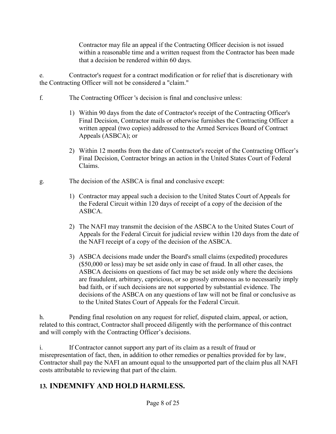Contractor may file an appeal if the Contracting Officer decision is not issued within a reasonable time and a written request from the Contractor has been made that a decision be rendered within 60 days.

e. Contractor's request for a contract modification or for relief that is discretionary with the Contracting Officer will not be considered a "claim."

- f. The Contracting Officer 's decision is final and conclusive unless:
	- 1) Within 90 days from the date of Contractor's receipt of the Contracting Officer's Final Decision, Contractor mails or otherwise furnishes the Contracting Officer a written appeal (two copies) addressed to the Armed Services Board of Contract Appeals (ASBCA); or
	- 2) Within 12 months from the date of Contractor's receipt of the Contracting Officer's Final Decision, Contractor brings an action in the United States Court of Federal Claims.
- g. The decision of the ASBCA is final and conclusive except:
	- 1) Contractor may appeal such a decision to the United States Court of Appeals for the Federal Circuit within 120 days of receipt of a copy of the decision of the ASBCA.
	- 2) The NAFI may transmit the decision of the ASBCA to the United States Court of Appeals for the Federal Circuit for judicial review within 120 days from the date of the NAFI receipt of a copy of the decision of the ASBCA.
	- 3) ASBCA decisions made under the Board's small claims (expedited) procedures (\$50,000 or less) may be set aside only in case of fraud. In all other cases, the ASBCA decisions on questions of fact may be set aside only where the decisions are fraudulent, arbitrary, capricious, or so grossly erroneous as to necessarily imply bad faith, or if such decisions are not supported by substantial evidence. The decisions of the ASBCA on any questions of law will not be final or conclusive as to the United States Court of Appeals for the Federal Circuit.

h. Pending final resolution on any request for relief, disputed claim, appeal, or action, related to this contract, Contractor shall proceed diligently with the performance of this contract and will comply with the Contracting Officer's decisions.

i. If Contractor cannot support any part of its claim as a result of fraud or misrepresentation of fact, then, in addition to other remedies or penalties provided for by law, Contractor shall pay the NAFI an amount equal to the unsupported part of the claim plus all NAFI costs attributable to reviewing that part of the claim.

#### <span id="page-7-0"></span>**13. INDEMNIFY AND HOLD HARMLESS.**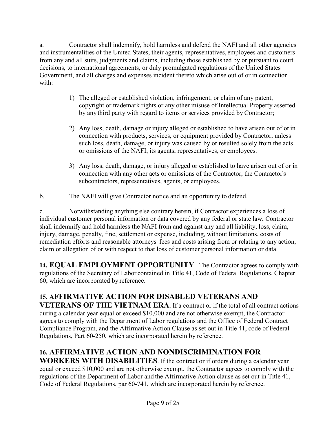a. Contractor shall indemnify, hold harmless and defend the NAFI and all other agencies and instrumentalities of the United States, their agents, representatives, employees and customers from any and all suits, judgments and claims, including those established by or pursuant to court decisions, to international agreements, or duly promulgated regulations of the United States Government, and all charges and expenses incident thereto which arise out of or in connection with:

- 1) The alleged or established violation, infringement, or claim of any patent, copyright or trademark rights or any other misuse of Intellectual Property asserted by anythird party with regard to items or services provided by Contractor;
- 2) Any loss, death, damage or injury alleged or established to have arisen out of or in connection with products, services, or equipment provided by Contractor, unless such loss, death, damage, or injury was caused by or resulted solely from the acts or omissions of the NAFI, its agents, representatives, or employees.
- 3) Any loss, death, damage, or injury alleged or established to have arisen out of or in connection with any other acts or omissions of the Contractor, the Contractor's subcontractors, representatives, agents, or employees.
- b. The NAFI will give Contractor notice and an opportunity to defend.

c. Notwithstanding anything else contrary herein, if Contractor experiences a loss of individual customer personal information or data covered by any federal or state law, Contractor shall indemnify and hold harmless the NAFI from and against any and all liability, loss, claim, injury, damage, penalty, fine, settlement or expense, including, without limitations, costs of remediation efforts and reasonable attorneys' fees and costs arising from or relating to any action, claim or allegation of or with respect to that loss of customer personal information or data.

<span id="page-8-0"></span>**14. EQUAL EMPLOYMENT OPPORTUNITY**. The Contractor agrees to comply with regulations of the Secretary of Labor contained in Title 41, Code of Federal Regulations, Chapter 60, which are incorporated by reference.

## **15. AFFIRMATIVE ACTION FOR DISABLED VETERANS AND**

**VETERANS OF THE VIETNAM ERA.** If a contract or if the total of all contract actions during a calendar year equal or exceed \$10,000 and are not otherwise exempt, the Contractor agrees to comply with the Department of Labor regulations and the Office of Federal Contract Compliance Program, and the Affirmative Action Clause as set out in Title 41, code of Federal Regulations, Part 60-250, which are incorporated herein by reference.

# <span id="page-8-1"></span>**16. AFFIRMATIVE ACTION AND NONDISCRIMINATION FOR**

**WORKERS WITH DISABILITIES**. If the contract or if orders during a calendar year equal or exceed \$10,000 and are not otherwise exempt, the Contractor agrees to comply with the regulations of the Department of Labor and the Affirmative Action clause as set out in Title 41, Code of Federal Regulations, par 60-741, which are incorporated herein by reference.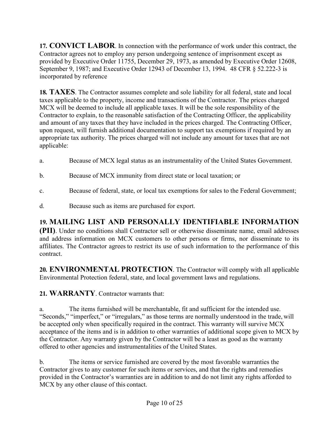<span id="page-9-0"></span>**17. CONVICT LABOR**. In connection with the performance of work under this contract, the Contractor agrees not to employ any person undergoing sentence of imprisonment except as provided by Executive Order 11755, December 29, 1973, as amended by Executive Order 12608, September 9, 1987; and Executive Order 12943 of December 13, 1994. 48 CFR § 52.222-3 is incorporated by reference

<span id="page-9-1"></span>**18. TAXES**. The Contractor assumes complete and sole liability for all federal, state and local taxes applicable to the property, income and transactions of the Contractor. The prices charged MCX will be deemed to include all applicable taxes. It will be the sole responsibility of the Contractor to explain, to the reasonable satisfaction of the Contracting Officer, the applicability and amount of any taxes that they have included in the prices charged. The Contracting Officer, upon request, will furnish additional documentation to support tax exemptions if required by an appropriate tax authority. The prices charged will not include any amount for taxes that are not applicable:

- a. Because of MCX legal status as an instrumentality of the United States Government.
- b. Because of MCX immunity from direct state or local taxation; or
- c. Because of federal, state, or local tax exemptions for sales to the Federal Government;
- d. Because such as items are purchased for export.

## <span id="page-9-2"></span>**19. MAILING LIST AND PERSONALLY IDENTIFIABLE INFORMATION**

**(PII)**. Under no conditions shall Contractor sell or otherwise disseminate name, email addresses and address information on MCX customers to other persons or firms, nor disseminate to its affiliates. The Contractor agrees to restrict its use of such information to the performance of this contract.

<span id="page-9-3"></span>**20. ENVIRONMENTAL PROTECTION**. The Contractor will comply with all applicable Environmental Protection federal, state, and local government laws and regulations.

<span id="page-9-4"></span>**21. WARRANTY**. Contractor warrants that:

The items furnished will be merchantable, fit and sufficient for the intended use. "Seconds," "imperfect," or "irregulars," as those terms are normally understood in the trade, will be accepted only when specifically required in the contract. This warranty will survive MCX acceptance of the items and is in addition to other warranties of additional scope given to MCX by the Contractor. Any warranty given by the Contractor will be a least as good as the warranty offered to other agencies and instrumentalities of the United States.

b. The items or service furnished are covered by the most favorable warranties the Contractor gives to any customer for such items or services, and that the rights and remedies provided in the Contractor's warranties are in addition to and do not limit any rights afforded to MCX by any other clause of this contact.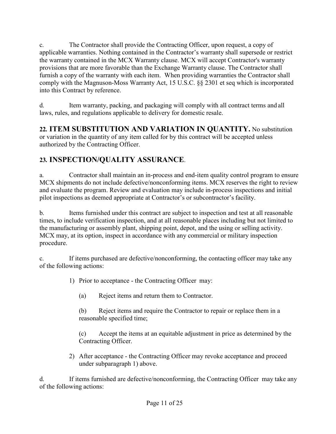c. The Contractor shall provide the Contracting Officer, upon request, a copy of applicable warranties. Nothing contained in the Contractor's warranty shall supersede or restrict the warranty contained in the MCX Warranty clause. MCX will accept Contractor's warranty provisions that are more favorable than the Exchange Warranty clause. The Contractor shall furnish a copy of the warranty with each item. When providing warranties the Contractor shall comply with the Magnuson-Moss Warranty Act, 15 U.S.C. §§ 2301 et seq which is incorporated into this Contract by reference.

d. Item warranty, packing, and packaging will comply with all contract terms and all laws, rules, and regulations applicable to delivery for domestic resale.

<span id="page-10-0"></span>**22. ITEM SUBSTITUTION AND VARIATION IN QUANTITY.** No substitution or variation in the quantity of any item called for by this contract will be accepted unless authorized by the Contracting Officer.

## <span id="page-10-1"></span>**23. INSPECTION/QUALITY ASSURANCE**.

a. Contractor shall maintain an in-process and end-item quality control program to ensure MCX shipments do not include defective/nonconforming items. MCX reserves the right to review and evaluate the program. Review and evaluation may include in-process inspections and initial pilot inspections as deemed appropriate at Contractor's or subcontractor's facility.

b. Items furnished under this contract are subject to inspection and test at all reasonable times, to include verification inspection, and at all reasonable places including but not limited to the manufacturing or assembly plant, shipping point, depot, and the using or selling activity. MCX may, at its option, inspect in accordance with any commercial or military inspection procedure.

c. If items purchased are defective/nonconforming, the contacting officer may take any of the following actions:

1) Prior to acceptance - the Contracting Officer may:

(a) Reject items and return them to Contractor.

(b) Reject items and require the Contractor to repair or replace them in a reasonable specified time;

(c) Accept the items at an equitable adjustment in price as determined by the Contracting Officer.

2) After acceptance - the Contracting Officer may revoke acceptance and proceed under subparagraph 1) above.

d. If items furnished are defective/nonconforming, the Contracting Officer may take any of the following actions: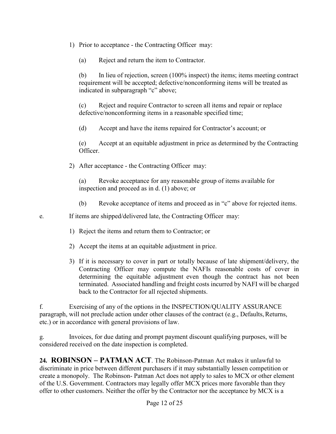- 1) Prior to acceptance the Contracting Officer may:
	- (a) Reject and return the item to Contractor.

(b) In lieu of rejection, screen (100% inspect) the items; items meeting contract requirement will be accepted; defective/nonconforming items will be treated as indicated in subparagraph "c" above;

(c) Reject and require Contractor to screen all items and repair or replace defective/nonconforming items in a reasonable specified time;

(d) Accept and have the items repaired for Contractor's account; or

(e) Accept at an equitable adjustment in price as determined by the Contracting Officer.

2) After acceptance - the Contracting Officer may:

(a) Revoke acceptance for any reasonable group of items available for inspection and proceed as in d. (1) above; or

(b) Revoke acceptance of items and proceed as in "c" above for rejected items.

e. If items are shipped/delivered late, the Contracting Officer may:

- 1) Reject the items and return them to Contractor; or
- 2) Accept the items at an equitable adjustment in price.
- 3) If it is necessary to cover in part or totally because of late shipment/delivery, the Contracting Officer may compute the NAFIs reasonable costs of cover in determining the equitable adjustment even though the contract has not been terminated. Associated handling and freight costs incurred by NAFI will be charged back to the Contractor for all rejected shipments.

f. Exercising of any of the options in the INSPECTION/QUALITY ASSURANCE paragraph, will not preclude action under other clauses of the contract (e.g., Defaults,Returns, etc.) or in accordance with general provisions of law.

g. Invoices, for due dating and prompt payment discount qualifying purposes, will be considered received on the date inspection is completed.

<span id="page-11-0"></span>**24. ROBINSON – PATMAN ACT**. The Robinson-Patman Act makes it unlawful to discriminate in price between different purchasers if it may substantially lessen competition or create a monopoly. The Robinson- Patman Act does not apply to sales to MCX or other element of the U.S. Government. Contractors may legally offer MCX prices more favorable than they offer to other customers. Neither the offer by the Contractor nor the acceptance by MCX is a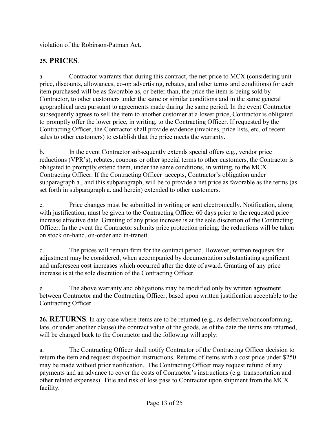violation of the Robinson-Patman Act.

#### <span id="page-12-0"></span>**25. PRICES**.

a. Contractor warrants that during this contract, the net price to MCX (considering unit price, discounts, allowances, co-op advertising, rebates, and other terms and conditions) for each item purchased will be as favorable as, or better than, the price the item is being sold by Contractor, to other customers under the same or similar conditions and in the same general geographical area pursuant to agreements made during the same period. In the event Contractor subsequently agrees to sell the item to another customer at a lower price, Contractor is obligated to promptly offer the lower price, in writing, to the Contracting Officer. If requested by the Contracting Officer, the Contractor shall provide evidence (invoices, price lists, etc. of recent sales to other customers) to establish that the price meets the warranty.

b. In the event Contractor subsequently extends special offers e.g., vendor price reductions (VPR's), rebates, coupons or other special terms to other customers, the Contractor is obligated to promptly extend them, under the same conditions, in writing, to the MCX Contracting Officer. If the Contracting Officer accepts, Contractor's obligation under subparagraph a., and this subparagraph, will be to provide a net price as favorable as the terms (as set forth in subparagraph a. and herein) extended to other customers.

c. Price changes must be submitted in writing or sent electronically. Notification, along with justification, must be given to the Contracting Officer 60 days prior to the requested price increase effective date. Granting of any price increase is at the sole discretion of the Contracting Officer. In the event the Contractor submits price protection pricing, the reductions will be taken on stock on-hand, on-order and in-transit.

d. The prices will remain firm for the contract period. However, written requests for adjustment may be considered, when accompanied by documentation substantiating significant and unforeseen cost increases which occurred after the date of award. Granting of any price increase is at the sole discretion of the Contracting Officer.

e. The above warranty and obligations may be modified only by written agreement between Contractor and the Contracting Officer, based upon written justification acceptable to the Contracting Officer.

<span id="page-12-1"></span>**26. RETURNS**. In any case where items are to be returned (e.g., as defective/nonconforming, late, or under another clause) the contract value of the goods, as of the date the items are returned, will be charged back to the Contractor and the following will apply:

a. The Contracting Officer shall notify Contractor of the Contracting Officer decision to return the item and request disposition instructions. Returns of items with a cost price under \$250 may be made without prior notification. The Contracting Officer may request refund of any payments and an advance to cover the costs of Contractor's instructions (e.g. transportation and other related expenses). Title and risk of loss pass to Contractor upon shipment from the MCX facility.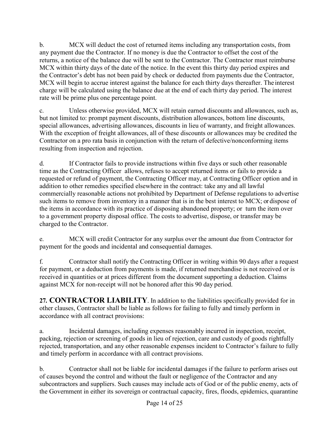b. MCX will deduct the cost of returned items including any transportation costs, from any payment due the Contractor. If no money is due the Contractor to offset the cost of the returns, a notice of the balance due will be sent to the Contractor. The Contractor must reimburse MCX within thirty days of the date of the notice. In the event this thirty day period expires and the Contractor's debt has not been paid by check or deducted from payments due the Contractor, MCX will begin to accrue interest against the balance for each thirty days thereafter. The interest charge will be calculated using the balance due at the end of each thirty day period. The interest rate will be prime plus one percentage point.

c. Unless otherwise provided, MCX will retain earned discounts and allowances, such as, but not limited to: prompt payment discounts, distribution allowances, bottom line discounts, special allowances, advertising allowances, discounts in lieu of warranty, and freight allowances. With the exception of freight allowances, all of these discounts or allowances may be credited the Contractor on a pro rata basis in conjunction with the return of defective/nonconforming items resulting from inspection and rejection.

d. If Contractor fails to provide instructions within five days or such other reasonable time as the Contracting Officer allows, refuses to accept returned items or fails to provide a requested or refund of payment, the Contracting Officer may, at Contracting Officer option and in addition to other remedies specified elsewhere in the contract: take any and all lawful commercially reasonable actions not prohibited by Department of Defense regulations to advertise such items to remove from inventory in a manner that is in the best interest to MCX; or dispose of the items in accordance with its practice of disposing abandoned property; or turn the item over to a government property disposal office. The costs to advertise, dispose, or transfer may be charged to the Contractor.

e. MCX will credit Contractor for any surplus over the amount due from Contractor for payment for the goods and incidental and consequential damages.

f. Contractor shall notify the Contracting Officer in writing within 90 days after a request for payment, or a deduction from payments is made, if returned merchandise is not received or is received in quantities or at prices different from the document supporting a deduction. Claims against MCX for non-receipt will not be honored after this 90 day period.

<span id="page-13-0"></span>**27. CONTRACTOR LIABILITY**. In addition to the liabilities specifically provided for in other clauses, Contractor shall be liable as follows for failing to fully and timely perform in accordance with all contract provisions:

a. Incidental damages, including expenses reasonably incurred in inspection, receipt, packing, rejection or screening of goods in lieu of rejection, care and custody of goods rightfully rejected, transportation, and any other reasonable expenses incident to Contractor's failure to fully and timely perform in accordance with all contract provisions.

b. Contractor shall not be liable for incidental damages if the failure to perform arises out of causes beyond the control and without the fault or negligence of the Contractor and any subcontractors and suppliers. Such causes may include acts of God or of the public enemy, acts of the Government in either its sovereign or contractual capacity, fires, floods, epidemics, quarantine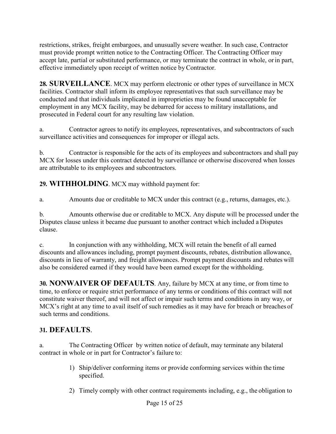restrictions, strikes, freight embargoes, and unusually severe weather. In such case, Contractor must provide prompt written notice to the Contracting Officer. The Contracting Officer may accept late, partial or substituted performance, or may terminate the contract in whole, or in part, effective immediately upon receipt of written notice by Contractor.

<span id="page-14-0"></span>**28. SURVEILLANCE**. MCX may perform electronic or other types of surveillance in MCX facilities. Contractor shall inform its employee representatives that such surveillance may be conducted and that individuals implicated in improprieties may be found unacceptable for employment in any MCX facility, may be debarred for access to military installations, and prosecuted in Federal court for any resulting law violation.

a. Contractor agrees to notify its employees, representatives, and subcontractors of such surveillance activities and consequences for improper or illegal acts.

b. Contractor is responsible for the acts of its employees and subcontractors and shall pay MCX for losses under this contract detected by surveillance or otherwise discovered when losses are attributable to its employees and subcontractors.

<span id="page-14-1"></span>**29. WITHHOLDING**. MCX may withhold payment for:

a. Amounts due or creditable to MCX under this contract (e.g., returns, damages, etc.).

b. Amounts otherwise due or creditable to MCX. Any dispute will be processed under the Disputes clause unless it became due pursuant to another contract which included a Disputes clause.

c. In conjunction with any withholding, MCX will retain the benefit of all earned discounts and allowances including, prompt payment discounts, rebates, distribution allowance, discounts in lieu of warranty, and freight allowances. Prompt payment discounts and rebates will also be considered earned if they would have been earned except for the withholding.

<span id="page-14-2"></span>**30. NONWAIVER OF DEFAULTS**. Any, failure by MCX at any time, or from time to time, to enforce or require strict performance of any terms or conditions of this contract will not constitute waiver thereof, and will not affect or impair such terms and conditions in any way, or MCX's right at any time to avail itself of such remedies as it may have for breach or breaches of such terms and conditions.

#### <span id="page-14-3"></span>**31. DEFAULTS**.

a. The Contracting Officer by written notice of default, may terminate any bilateral contract in whole or in part for Contractor's failure to:

- 1) Ship/deliver conforming items or provide conforming services within the time specified.
- 2) Timely comply with other contract requirements including, e.g., the obligation to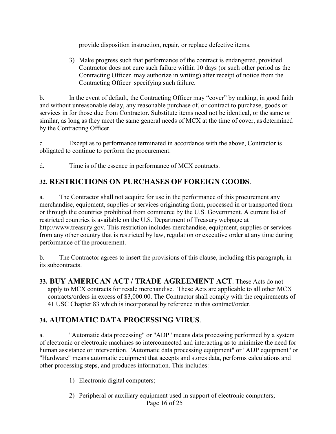provide disposition instruction, repair, or replace defective items.

3) Make progress such that performance of the contract is endangered, provided Contractor does not cure such failure within 10 days (or such other period as the Contracting Officer may authorize in writing) after receipt of notice from the Contracting Officer specifying such failure.

b. In the event of default, the Contracting Officer may "cover" by making, in good faith and without unreasonable delay, any reasonable purchase of, or contract to purchase, goods or services in for those due from Contractor. Substitute items need not be identical, or the same or similar, as long as they meet the same general needs of MCX at the time of cover, as determined by the Contracting Officer.

c. Except as to performance terminated in accordance with the above, Contractor is obligated to continue to perform the procurement.

d. Time is of the essence in performance of MCX contracts.

#### <span id="page-15-0"></span>**32. RESTRICTIONS ON PURCHASES OF FOREIGN GOODS**.

a. The Contractor shall not acquire for use in the performance of this procurement any merchandise, equipment, supplies or services originating from, processed in or transported from or through the countries prohibited from commerce by the U.S. Government. A current list of restricted countries is available on the U.S. Department of Treasury webpage at http://www.treasury.gov. This restriction includes merchandise, equipment, supplies or services from any other country that is restricted by law, regulation or executive order at any time during performance of the procurement.

b. The Contractor agrees to insert the provisions of this clause, including this paragraph, in its subcontracts.

<span id="page-15-1"></span>**33. BUY AMERICAN ACT / TRADE AGREEMENT ACT**. These Acts do not apply to MCX contracts for resale merchandise. These Acts are applicable to all other MCX contracts/orders in excess of \$3,000.00. The Contractor shall comply with the requirements of 41 USC Chapter 83 which is incorporated by reference in this contract/order.

#### <span id="page-15-2"></span>**34. AUTOMATIC DATA PROCESSING VIRUS**.

a. "Automatic data processing" or "ADP" means data processing performed by a system of electronic or electronic machines so interconnected and interacting as to minimize the need for human assistance or intervention. "Automatic data processing equipment" or "ADP equipment" or "Hardware" means automatic equipment that accepts and stores data, performs calculations and other processing steps, and produces information. This includes:

- 1) Electronic digital computers;
- Page 16 of 25 2) Peripheral or auxiliary equipment used in support of electronic computers;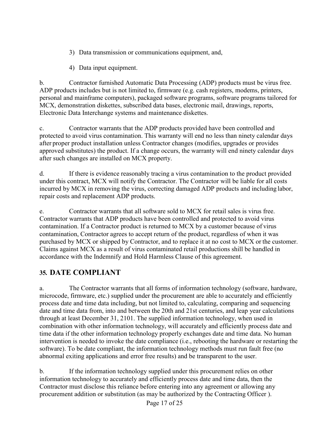- 3) Data transmission or communications equipment, and,
- 4) Data input equipment.

b. Contractor furnished Automatic Data Processing (ADP) products must be virus free. ADP products includes but is not limited to, firmware (e.g. cash registers, modems, printers, personal and mainframe computers), packaged software programs, software programs tailored for MCX, demonstration diskettes, subscribed data bases, electronic mail, drawings, reports, Electronic Data Interchange systems and maintenance diskettes.

c. Contractor warrants that the ADP products provided have been controlled and protected to avoid virus contamination. This warranty will end no less than ninety calendar days after proper product installation unless Contractor changes (modifies, upgrades or provides approved substitutes) the product. If a change occurs, the warranty will end ninety calendar days after such changes are installed on MCX property.

d. If there is evidence reasonably tracing a virus contamination to the product provided under this contract, MCX will notify the Contractor. The Contractor will be liable for all costs incurred by MCX in removing the virus, correcting damaged ADP products and including labor, repair costs and replacement ADP products.

e. Contractor warrants that all software sold to MCX for retail sales is virus free. Contractor warrants that ADP products have been controlled and protected to avoid virus contamination. If a Contractor product is returned to MCX by a customer because of virus contamination, Contractor agrees to accept return of the product, regardless of when it was purchased by MCX or shipped by Contractor, and to replace it at no cost to MCX or the customer. Claims against MCX as a result of virus contaminated retail productions shill be handled in accordance with the Indemnify and Hold Harmless Clause of this agreement.

## <span id="page-16-0"></span>**35. DATE COMPLIANT**

a. The Contractor warrants that all forms of information technology (software, hardware, microcode, firmware, etc.) supplied under the procurement are able to accurately and efficiently process date and time data including, but not limited to, calculating, comparing and sequencing date and time data from, into and between the 20th and 21st centuries, and leap year calculations through at least December 31, 2101. The supplied information technology, when used in combination with other information technology, will accurately and efficiently process date and time data if the other information technology properly exchanges date and time data. No human intervention is needed to invoke the date compliance (i.e., rebooting the hardware or restarting the software). To be date compliant, the information technology methods must run fault free (no abnormal exiting applications and error free results) and be transparent to the user.

b. If the information technology supplied under this procurement relies on other information technology to accurately and efficiently process date and time data, then the Contractor must disclose this reliance before entering into any agreement or allowing any procurement addition or substitution (as may be authorized by the Contracting Officer ).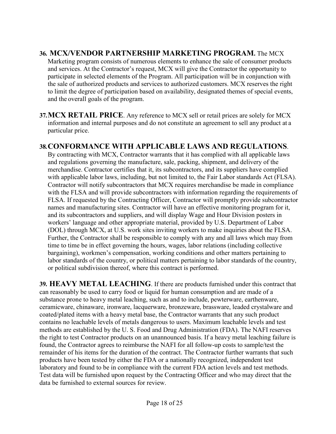- <span id="page-17-0"></span>**36. MCX/VENDOR PARTNERSHIP MARKETING PROGRAM.** The MCX Marketing program consists of numerous elements to enhance the sale of consumer products and services. At the Contractor's request, MCX will give the Contractor the opportunity to participate in selected elements of the Program. All participation will be in conjunction with the sale of authorized products and services to authorized customers. MCX reserves the right to limit the degree of participation based on availability, designated themes of special events, and the overall goals of the program.
- <span id="page-17-1"></span>**37.MCX RETAIL PRICE**. Any reference to MCX sell or retail prices are solely for MCX information and internal purposes and do not constitute an agreement to sell any product at a particular price.

#### <span id="page-17-2"></span>**38.CONFORMANCE WITH APPLICABLE LAWS AND REGULATIONS**.

By contracting with MCX, Contractor warrants that it has complied with all applicable laws and regulations governing the manufacture, sale, packing, shipment, and delivery of the merchandise. Contractor certifies that it, its subcontractors, and its suppliers have complied with applicable labor laws, including, but not limited to, the Fair Labor standards Act (FLSA). Contractor will notify subcontractors that MCX requires merchandise be made in compliance with the FLSA and will provide subcontractors with information regarding the requirements of FLSA. If requested by the Contracting Officer, Contractor will promptly provide subcontractor names and manufacturing sites. Contractor will have an effective monitoring program for it, and its subcontractors and suppliers, and will display Wage and Hour Division posters in workers' language and other appropriate material, provided by U.S. Department of Labor (DOL) through MCX, at U.S. work sites inviting workers to make inquiries about the FLSA. Further, the Contractor shall be responsible to comply with any and all laws which may from time to time be in effect governing the hours, wages, labor relations (including collective bargaining), workmen's compensation, working conditions and other matters pertaining to labor standards of the country, or political matters pertaining to labor standards of the country, or political subdivision thereof, where this contract is performed.

<span id="page-17-3"></span>**39. HEAVY METAL LEACHING**. If there are products furnished under this contract that can reasonably be used to carry food or liquid for human consumption and are made of a substance prone to heavy metal leaching, such as and to include, pewterware, earthenware, ceramicware, chinaware, ironware, lacquerware, bronzeware, brassware, leaded crystalware and coated/plated items with a heavy metal base, the Contractor warrants that any such product contains no leachable levels of metals dangerous to users. Maximum leachable levels and test methods are established by the U. S. Food and Drug Administration (FDA). The NAFI reserves the right to test Contractor products on an unannounced basis. If a heavy metal leaching failure is found, the Contractor agrees to reimburse the NAFI for all follow-up costs to sample/test the remainder of his items for the duration of the contract. The Contractor further warrants that such products have been tested by either the FDA or a nationally recognized, independent test laboratory and found to be in compliance with the current FDA action levels and test methods. Test data will be furnished upon request by the Contracting Officer and who may direct that the data be furnished to external sources for review.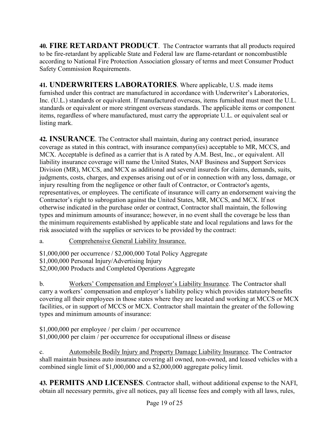<span id="page-18-0"></span>**40. FIRE RETARDANT PRODUCT**. The Contractor warrants that all products required to be fire-retardant by applicable State and Federal law are flame-retardant or noncombustible according to National Fire Protection Association glossary of terms and meet Consumer Product Safety Commission Requirements.

<span id="page-18-1"></span>**41. UNDERWRITERS LABORATORIES**. Where applicable, U.S. made items furnished under this contract are manufactured in accordance with Underwriter's Laboratories, Inc. (U.L.) standards or equivalent. If manufactured overseas, items furnished must meet the U.L. standards or equivalent or more stringent overseas standards. The applicable items or component items, regardless of where manufactured, must carry the appropriate U.L. or equivalent seal or listing mark.

<span id="page-18-2"></span>**42. INSURANCE**. The Contractor shall maintain, during any contract period, insurance coverage as stated in this contract, with insurance company(ies) acceptable to MR, MCCS, and MCX. Acceptable is defined as a carrier that is A rated by A.M. Best, Inc., or equivalent. All liability insurance coverage will name the United States, NAF Business and Support Services Division (MR), MCCS, and MCX as additional and several insureds for claims, demands, suits, judgments, costs, charges, and expenses arising out of or in connection with any loss, damage, or injury resulting from the negligence or other fault of Contractor, or Contractor's agents, representatives, or employees. The certificate of insurance will carry an endorsement waiving the Contractor's right to subrogation against the United States, MR, MCCS, and MCX. If not otherwise indicated in the purchase order or contract, Contractor shall maintain, the following types and minimum amounts of insurance; however, in no event shall the coverage be less than the minimum requirements established by applicable state and local regulations and laws for the risk associated with the supplies or services to be provided by the contract:

a. Comprehensive General Liability Insurance.

\$1,000,000 per occurrence / \$2,000,000 Total Policy Aggregate \$1,000,000 Personal Injury/Advertising Injury \$2,000,000 Products and Completed Operations Aggregate

b. Workers' Compensation and Employer's Liability Insurance. The Contractor shall carry a workers' compensation and employer's liability policy which provides statutory benefits covering all their employees in those states where they are located and working at MCCS or MCX facilities, or in support of MCCS or MCX. Contractor shall maintain the greater of the following types and minimum amounts of insurance:

\$1,000,000 per employee / per claim / per occurrence \$1,000,000 per claim / per occurrence for occupational illness or disease

c. Automobile Bodily Injury and Property Damage Liability Insurance. The Contractor shall maintain business auto insurance covering all owned, non-owned, and leased vehicles with a combined single limit of \$1,000,000 and a \$2,000,000 aggregate policy limit.

<span id="page-18-3"></span>**43. PERMITS AND LICENSES**. Contractor shall, without additional expense to the NAFI, obtain all necessary permits, give all notices, pay all license fees and comply with all laws, rules,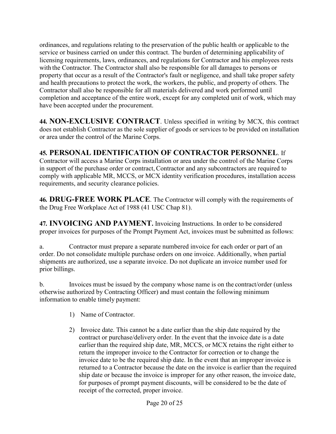ordinances, and regulations relating to the preservation of the public health or applicable to the service or business carried on under this contract. The burden of determining applicability of licensing requirements, laws, ordinances, and regulations for Contractor and his employees rests with the Contractor. The Contractor shall also be responsible for all damages to persons or property that occur as a result of the Contractor's fault or negligence, and shall take proper safety and health precautions to protect the work, the workers, the public, and property of others. The Contractor shall also be responsible for all materials delivered and work performed until completion and acceptance of the entire work, except for any completed unit of work, which may have been accepted under the procurement.

<span id="page-19-0"></span>**44. NON-EXCLUSIVE CONTRACT**. Unless specified in writing by MCX, this contract does not establish Contractor as the sole supplier of goods or services to be provided on installation or area under the control of the Marine Corps.

## <span id="page-19-1"></span>**45. PERSONAL IDENTIFICATION OF CONTRACTOR PERSONNEL**. If

Contractor will access a Marine Corps installation or area under the control of the Marine Corps in support of the purchase order or contract, Contractor and any subcontractors are required to comply with applicable MR, MCCS, or MCX identity verification procedures, installation access requirements, and security clearance policies.

<span id="page-19-2"></span>**46. DRUG-FREE WORK PLACE**. The Contractor will comply with the requirements of the Drug Free Workplace Act of 1988 (41 USC Chap 81).

<span id="page-19-3"></span>**47. INVOICING AND PAYMENT.** Invoicing Instructions. In order to be considered proper invoices for purposes of the Prompt Payment Act, invoices must be submitted as follows:

a. Contractor must prepare a separate numbered invoice for each order or part of an order. Do not consolidate multiple purchase orders on one invoice. Additionally, when partial shipments are authorized, use a separate invoice. Do not duplicate an invoice number used for prior billings.

b. Invoices must be issued by the company whose name is on the contract/order (unless otherwise authorized by Contracting Officer) and must contain the following minimum information to enable timely payment:

- 1) Name of Contractor.
- 2) Invoice date. This cannot be a date earlier than the ship date required by the contract or purchase/delivery order. In the event that the invoice date is a date earlier than the required ship date, MR, MCCS, or MCX retains the right either to return the improper invoice to the Contractor for correction or to change the invoice date to be the required ship date. In the event that an improper invoice is returned to a Contractor because the date on the invoice is earlier than the required ship date or because the invoice is improper for any other reason, the invoice date, for purposes of prompt payment discounts, will be considered to be the date of receipt of the corrected, proper invoice.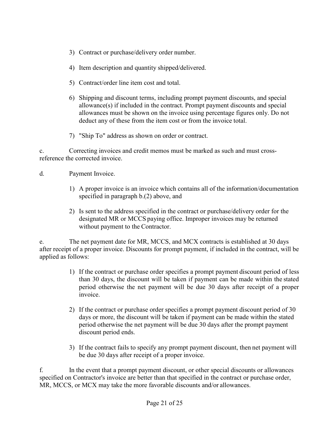- 3) Contract or purchase/delivery order number.
- 4) Item description and quantity shipped/delivered.
- 5) Contract/order line item cost and total.
- 6) Shipping and discount terms, including prompt payment discounts, and special allowance(s) if included in the contract. Prompt payment discounts and special allowances must be shown on the invoice using percentage figures only. Do not deduct any of these from the item cost or from the invoice total.
- 7) "Ship To" address as shown on order or contract.

c. Correcting invoices and credit memos must be marked as such and must crossreference the corrected invoice.

- d. Payment Invoice.
	- 1) A proper invoice is an invoice which contains all of the information/documentation specified in paragraph b.(2) above, and
	- 2) Is sent to the address specified in the contract or purchase/delivery order for the designated MR or MCCS paying office. Improper invoices may be returned without payment to the Contractor.

e. The net payment date for MR, MCCS, and MCX contracts is established at 30 days after receipt of a proper invoice. Discounts for prompt payment, if included in the contract, will be applied as follows:

- 1) If the contract or purchase order specifies a prompt payment discount period of less than 30 days, the discount will be taken if payment can be made within the stated period otherwise the net payment will be due 30 days after receipt of a proper invoice.
- 2) If the contract or purchase order specifies a prompt payment discount period of 30 days or more, the discount will be taken if payment can be made within the stated period otherwise the net payment will be due 30 days after the prompt payment discount period ends.
- 3) If the contract fails to specify any prompt payment discount, then net payment will be due 30 days after receipt of a proper invoice.

f. In the event that a prompt payment discount, or other special discounts or allowances specified on Contractor's invoice are better than that specified in the contract or purchase order, MR, MCCS, or MCX may take the more favorable discounts and/or allowances.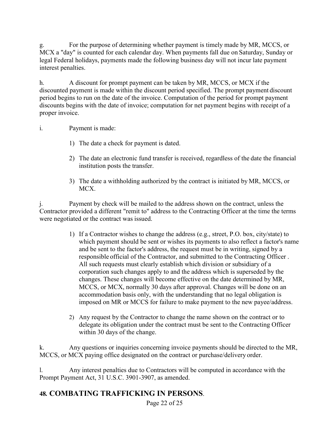For the purpose of determining whether payment is timely made by MR, MCCS, or MCX a "day" is counted for each calendar day. When payments fall due on Saturday, Sunday or legal Federal holidays, payments made the following business day will not incur late payment interest penalties.

h. A discount for prompt payment can be taken by MR, MCCS, or MCX if the discounted payment is made within the discount period specified. The prompt payment discount period begins to run on the date of the invoice. Computation of the period for prompt payment discounts begins with the date of invoice; computation for net payment begins with receipt of a proper invoice.

#### i. Payment is made:

- 1) The date a check for payment is dated.
- 2) The date an electronic fund transfer is received, regardless of the date the financial institution posts the transfer.
- 3) The date a withholding authorized by the contract is initiated by MR, MCCS, or MCX.

j. Payment by check will be mailed to the address shown on the contract, unless the Contractor provided a different "remit to" address to the Contracting Officer at the time the terms were negotiated or the contract was issued.

- 1) If a Contractor wishes to change the address (e.g., street, P.O. box, city/state) to which payment should be sent or wishes its payments to also reflect a factor's name and be sent to the factor's address, the request must be in writing, signed by a responsible official of the Contractor, and submitted to the Contracting Officer . All such requests must clearly establish which division or subsidiary of a corporation such changes apply to and the address which is superseded by the changes. These changes will become effective on the date determined by MR, MCCS, or MCX, normally 30 days after approval. Changes will be done on an accommodation basis only, with the understanding that no legal obligation is imposed on MR or MCCS for failure to make payment to the new payee/address.
- 2) Any request by the Contractor to change the name shown on the contract or to delegate its obligation under the contract must be sent to the Contracting Officer within 30 days of the change.

k. Any questions or inquiries concerning invoice payments should be directed to the MR, MCCS, or MCX paying office designated on the contract or purchase/delivery order.

l. Any interest penalties due to Contractors will be computed in accordance with the Prompt Payment Act, 31 U.S.C. 3901-3907, as amended.

#### <span id="page-21-0"></span>**48. COMBATING TRAFFICKING IN PERSONS**.

Page 22 of 25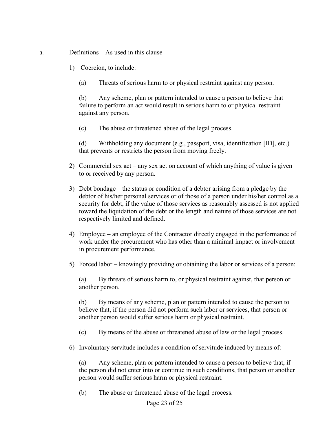#### a. Definitions – As used in this clause

- 1) Coercion, to include:
	- (a) Threats of serious harm to or physical restraint against any person.

(b) Any scheme, plan or pattern intended to cause a person to believe that failure to perform an act would result in serious harm to or physical restraint against any person.

(c) The abuse or threatened abuse of the legal process.

(d) Withholding any document (e.g., passport, visa, identification [ID], etc.) that prevents or restricts the person from moving freely.

- 2) Commercial sex act any sex act on account of which anything of value is given to or received by any person.
- 3) Debt bondage the status or condition of a debtor arising from a pledge by the debtor of his/her personal services or of those of a person under his/her control as a security for debt, if the value of those services as reasonably assessed is not applied toward the liquidation of the debt or the length and nature of those services are not respectively limited and defined.
- 4) Employee an employee of the Contractor directly engaged in the performance of work under the procurement who has other than a minimal impact or involvement in procurement performance.
- 5) Forced labor knowingly providing or obtaining the labor or services of a person:

(a) By threats of serious harm to, or physical restraint against, that person or another person.

(b) By means of any scheme, plan or pattern intended to cause the person to believe that, if the person did not perform such labor or services, that person or another person would suffer serious harm or physical restraint.

(c) By means of the abuse or threatened abuse of law or the legal process.

6) Involuntary servitude includes a condition of servitude induced by means of:

(a) Any scheme, plan or pattern intended to cause a person to believe that, if the person did not enter into or continue in such conditions, that person or another person would suffer serious harm or physical restraint.

(b) The abuse or threatened abuse of the legal process.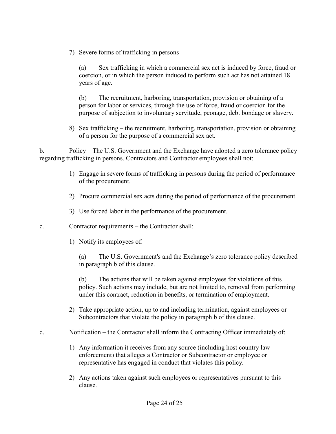7) Severe forms of trafficking in persons

(a) Sex trafficking in which a commercial sex act is induced by force, fraud or coercion, or in which the person induced to perform such act has not attained 18 years of age.

(b) The recruitment, harboring, transportation, provision or obtaining of a person for labor or services, through the use of force, fraud or coercion for the purpose of subjection to involuntary servitude, peonage, debt bondage or slavery.

8) Sex trafficking – the recruitment, harboring, transportation, provision or obtaining of a person for the purpose of a commercial sex act.

b. Policy – The U.S. Government and the Exchange have adopted a zero tolerance policy regarding trafficking in persons. Contractors and Contractor employees shall not:

- 1) Engage in severe forms of trafficking in persons during the period of performance of the procurement.
- 2) Procure commercial sex acts during the period of performance of the procurement.
- 3) Use forced labor in the performance of the procurement.
- c. Contractor requirements the Contractor shall:
	- 1) Notify its employees of:

(a) The U.S. Government's and the Exchange's zero tolerance policy described in paragraph b of this clause.

(b) The actions that will be taken against employees for violations of this policy. Such actions may include, but are not limited to, removal from performing under this contract, reduction in benefits, or termination of employment.

- 2) Take appropriate action, up to and including termination, against employees or Subcontractors that violate the policy in paragraph b of this clause.
- d. Notification the Contractor shall inform the Contracting Officer immediately of:
	- 1) Any information it receives from any source (including host country law enforcement) that alleges a Contractor or Subcontractor or employee or representative has engaged in conduct that violates this policy.
	- 2) Any actions taken against such employees or representatives pursuant to this clause.

Page 24 of 25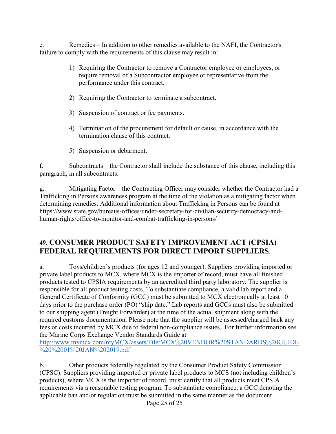e. Remedies – In addition to other remedies available to the NAFI, the Contractor's failure to comply with the requirements of this clause may result in:

- 1) Requiring the Contractor to remove a Contractor employee or employees, or require removal of a Subcontractor employee or representative from the performance under this contract.
- 2) Requiring the Contractor to terminate a subcontract.
- 3) Suspension of contract or fee payments.
- 4) Termination of the procurement for default or cause, in accordance with the termination clause of this contract.
- 5) Suspension or debarment.

f. Subcontracts – the Contractor shall include the substance of this clause, including this paragraph, in all subcontracts.

Mitigating Factor – the Contracting Officer may consider whether the Contractor had a Trafficking in Persons awareness program at the time of the violation as a mitigating factor when determining remedies. Additional information about Trafficking in Persons can be found at https://www.state.gov/bureaus-offices/under-secretary-for-civilian-security-democracy-andhuman-rights/office-to-monitor-and-combat-trafficking-in-persons/

#### <span id="page-24-0"></span>**49. CONSUMER PRODUCT SAFETY IMPROVEMENT ACT (CPSIA) FEDERAL REQUIREMENTS FOR DIRECT IMPORT SUPPLIERS**.

a. Toys/children's products (for ages 12 and younger). Suppliers providing imported or private label products to MCX, where MCX is the importer of record, must have all finished products tested to CPSIA requirements by an accredited third party laboratory. The supplier is responsible for all product testing costs. To substantiate compliance, a valid lab report and a General Certificate of Conformity (GCC) must be submitted to MCX electronically at least 10 days prior to the purchase order (PO) "ship date." Lab reports and GCCs must also be submitted to our shipping agent (Freight Forwarder) at the time of the actual shipment along with the required customs documentation. Please note that the supplier will be assessed/charged back any fees or costs incurred by MCX due to federal non-compliance issues. For further information see the Marine Corps Exchange Vendor Standards Guide at [http://www.mymcx.com/myMCX/assets/File/MCX%20VENDOR%20STANDARDS%20GUIDE](http://www.mymcx.com/myMCX/assets/File/MCX%20VENDOR%20STANDARDS%20GUIDE%20%2001%20JAN%202019.pdf)

[%20%2001%20JAN%202019.pdf](http://www.mymcx.com/myMCX/assets/File/MCX%20VENDOR%20STANDARDS%20GUIDE%20%2001%20JAN%202019.pdf)

b. Other products federally regulated by the Consumer Product Safety Commission (CPSC). Suppliers providing imported or private label products to MCS (not including children's products), where MCX is the importer of record, must certify that all products meet CPSIA requirements via a reasonable testing program. To substantiate compliance, a GCC denoting the applicable ban and/or regulation must be submitted in the same manner as the document